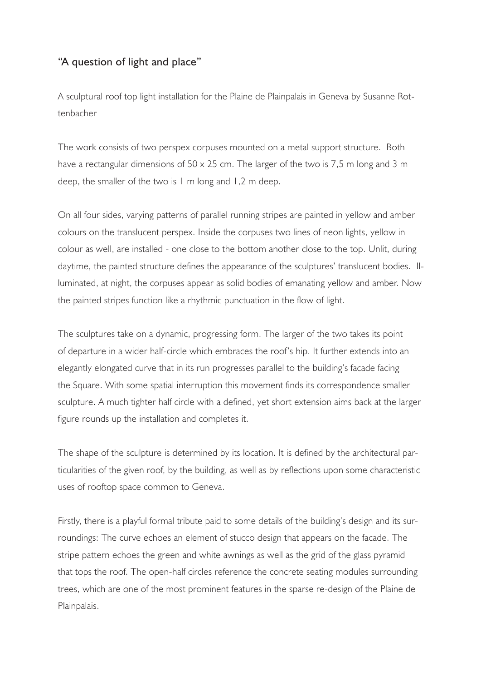## "A question of light and place"

A sculptural roof top light installation for the Plaine de Plainpalais in Geneva by Susanne Rottenbacher

The work consists of two perspex corpuses mounted on a metal support structure. Both have a rectangular dimensions of 50 x 25 cm. The larger of the two is 7,5 m long and 3 m deep, the smaller of the two is 1 m long and 1,2 m deep.

On all four sides, varying patterns of parallel running stripes are painted in yellow and amber colours on the translucent perspex. Inside the corpuses two lines of neon lights, yellow in colour as well, are installed - one close to the bottom another close to the top. Unlit, during daytime, the painted structure defines the appearance of the sculptures' translucent bodies. Illuminated, at night, the corpuses appear as solid bodies of emanating yellow and amber. Now the painted stripes function like a rhythmic punctuation in the flow of light.

The sculptures take on a dynamic, progressing form. The larger of the two takes its point of departure in a wider half-circle which embraces the roof's hip. It further extends into an elegantly elongated curve that in its run progresses parallel to the building's facade facing the Square. With some spatial interruption this movement finds its correspondence smaller sculpture. A much tighter half circle with a defined, yet short extension aims back at the larger figure rounds up the installation and completes it.

The shape of the sculpture is determined by its location. It is defined by the architectural particularities of the given roof, by the building, as well as by reflections upon some characteristic uses of rooftop space common to Geneva.

Firstly, there is a playful formal tribute paid to some details of the building's design and its surroundings: The curve echoes an element of stucco design that appears on the facade. The stripe pattern echoes the green and white awnings as well as the grid of the glass pyramid that tops the roof. The open-half circles reference the concrete seating modules surrounding trees, which are one of the most prominent features in the sparse re-design of the Plaine de Plainpalais.